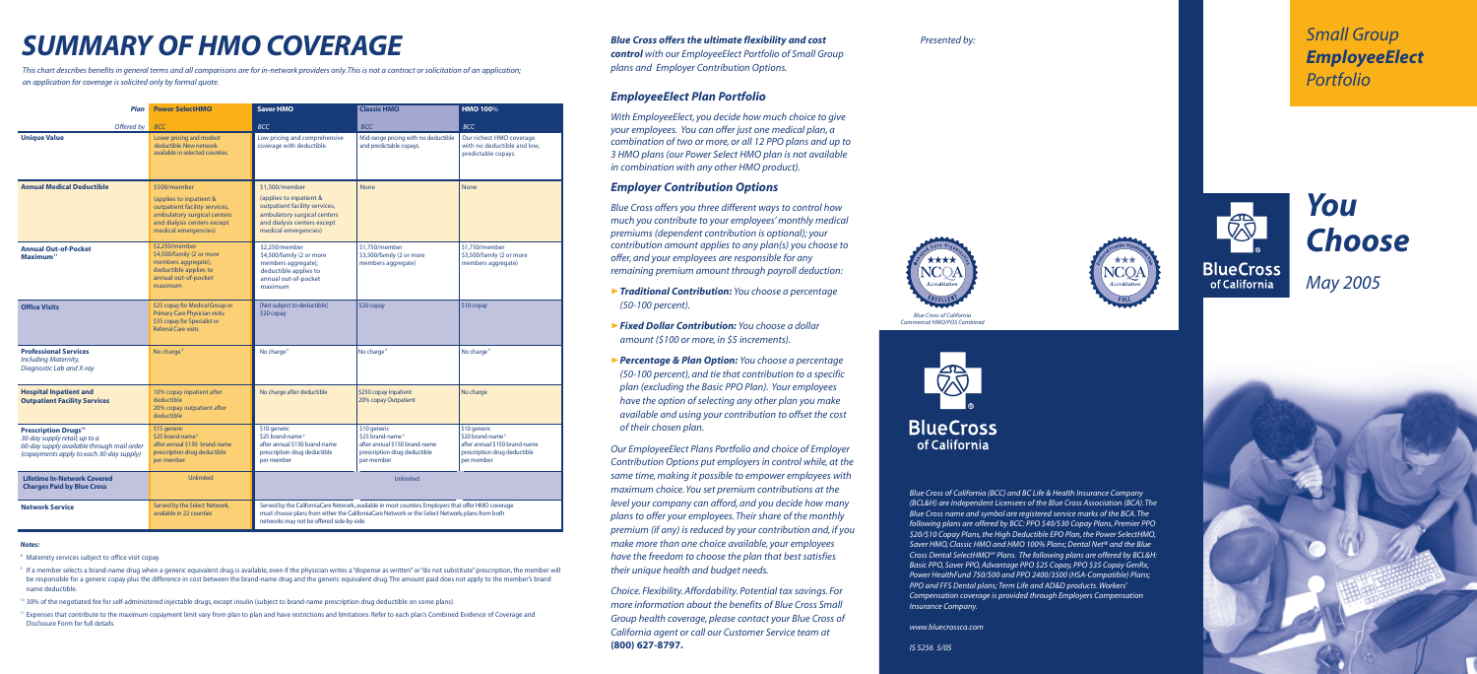*Small Group EmployeeElect Portfolio*

# *You Choose May 2005*



**BlueCross** of California

*Blue Cross of California (BCC) and BC Life & Health Insurance Company (BCL&H) are Independent Licensees of the Blue Cross Association (BCA). The Blue Cross name and symbol are registered service marks of the BCA. The following plans are offered by BCC: PPO \$40/\$30 Copay Plans, Premier PPO \$20/\$10 Copay Plans, the High Deductible EPO Plan, the Power SelectHMO, Saver HMO, Classic HMO and HMO 100% Plans; Dental Net® and the Blue Cross Dental SelectHMOSM Plans. The following plans are offered by BCL&H: Basic PPO, Saver PPO, Advantage PPO \$25 Copay, PPO \$35 Copay GenRx, Power HealthFund 750/500 and PPO 2400/3500 (HSA-Compatible) Plans; PPO and FFS Dental plans; Term Life and AD&D products. Workers' Compensation coverage is provided through Employers Compensation Insurance Company.*

*www.bluecrossca.com*



## *Blue Cross offers the ultimate flexibility and cost Presented by:*

*control with our EmployeeElect Portfolio of Small Group plans and Employer Contribution Options.*

## *EmployeeElect Plan Portfolio*

*With EmployeeElect, you decide how much choice to give your employees. You can offer just one medical plan, a combination of two or more, or all 12 PPO plans and up to 3 HMO plans (our Power Select HMO plan is not available in combination with any other HMO product).*

## *Employer Contribution Options*

*Blue Cross offers you three different ways to control how much you contribute to your employees' monthly medical premiums (dependent contribution is optional); your contribution amount applies to any plan(s) you choose to offer, and your employees are responsible for any remaining premium amount through payroll deduction:*

- ❿*Traditional Contribution: You choose a percentage (50-100 percent).*
- ❿*Fixed Dollar Contribution: You choose a dollar amount (\$100 or more, in \$5 increments).*
- ❿*Percentage & Plan Option: You choose a percentage (50-100 percent), and tie that contribution to a specific plan (excluding the Basic PPO Plan). Your employees have the option of selecting any other plan you make available and using your contribution to offset the cost of their chosen plan.*

*Our EmployeeElect Plans Portfolio and choice of Employer Contribution Options put employers in control while, at the same time, making it possible to empower employees with maximum choice. You set premium contributions at the level your company can afford, and you decide how many plans to offer your employees. Their share of the monthly premium (if any) is reduced by your contribution and, if you make more than one choice available, your employees have the freedom to choose the plan that best satisfies their unique health and budget needs.*

- <sup>8</sup> Maternity services subject to office visit copay.
- <sup>9</sup> If a member selects a brand-name drug when a generic equivalent drug is available, even if the physician writes a "dispense as written" or "do not substitute" prescription, the member will be responsible for a generic copay plus the difference in cost between the brand-name drug and the generic equivalent drug. The amount paid does not apply to the member's brand name deductible.
- 10 30% of the negotiated fee for self-administered injectable drugs, except insulin (subject to brand-name prescription drug deductible on some plans).
- <sup>11</sup> Expenses that contribute to the maximum copayment limit vary from plan to plan and have restrictions and limitations. Refer to each plan's Combined Evidence of Coverage and Disclosure Form for full details.

*Choice. Flexibility. Affordability. Potential tax savings. For more information about the benefits of Blue Cross Small Group health coverage, please contact your Blue Cross of California agent or call our Customer Service team at* **(800) 627-8797.**

| Plan                                                                                                                                                              | <b>Power SelectHMO</b>                                                                                                                                         | <b>Saver HMO</b>                                                                                                                                                                                                                                    | <b>Classic HMO</b>                                                                                                          | <b>HMO 100%</b>                                                                                                             |  |  |  |
|-------------------------------------------------------------------------------------------------------------------------------------------------------------------|----------------------------------------------------------------------------------------------------------------------------------------------------------------|-----------------------------------------------------------------------------------------------------------------------------------------------------------------------------------------------------------------------------------------------------|-----------------------------------------------------------------------------------------------------------------------------|-----------------------------------------------------------------------------------------------------------------------------|--|--|--|
| Offered by                                                                                                                                                        | <b>BCC</b>                                                                                                                                                     | <b>BCC</b>                                                                                                                                                                                                                                          | <b>BCC</b>                                                                                                                  | <b>BCC</b>                                                                                                                  |  |  |  |
| <b>Unique Value</b>                                                                                                                                               | Lower pricing and modest<br>deductible. New network<br>available in selected counties.                                                                         | Low pricing and comprehensive<br>coverage with deductible.                                                                                                                                                                                          | Mid-range pricing with no deductible<br>and predictable copays.                                                             | Our richest HMO coverage<br>with no deductible and low,<br>predictable copays.                                              |  |  |  |
| <b>Annual Medical Deductible</b>                                                                                                                                  | \$500/member<br>(applies to inpatient &<br>outpatient facility services,<br>ambulatory surgical centers<br>and dialysis centers except<br>medical emergencies) | \$1,500/member<br>(applies to inpatient &<br>outpatient facility services,<br>ambulatory surgical centers<br>and dialysis centers except<br>medical emergencies)                                                                                    | <b>None</b>                                                                                                                 | <b>None</b>                                                                                                                 |  |  |  |
| <b>Annual Out-of-Pocket</b><br>Maximum <sup>11</sup>                                                                                                              | \$2,250/member<br>\$4,500/family (2 or more<br>members aggregate);<br>deductible applies to<br>annual out-of-pocket<br>maximum                                 | \$2.250/member<br>\$4,500/family (2 or more<br>members aggregate);<br>deductible applies to<br>annual out-of-pocket<br>maximum                                                                                                                      | \$1.750/member<br>\$3,500/family (2 or more<br>members aggregate)                                                           | \$1.750/member<br>\$3,500/family (2 or more<br>members aggregate)                                                           |  |  |  |
| <b>Office Visits</b>                                                                                                                                              | \$25 copay for Medical Group or<br><b>Primary Care Physician visits;</b><br>\$35 copay for Specialist or<br><b>Referral Care visits</b>                        | [Not subject to deductible]<br>\$20 copay                                                                                                                                                                                                           | \$20 copay                                                                                                                  | \$10 copay                                                                                                                  |  |  |  |
| <b>Professional Services</b><br><b>Including Maternity,</b><br>Diagnostic Lab and X-ray                                                                           | No charge <sup>8</sup>                                                                                                                                         | No charge <sup>8</sup>                                                                                                                                                                                                                              | No charge <sup>8</sup>                                                                                                      | No charge <sup>8</sup>                                                                                                      |  |  |  |
| <b>Hospital Inpatient and</b><br><b>Outpatient Facility Services</b>                                                                                              | 10% copay inpatient after<br>deductible<br>20% copay outpatient after<br>deductible                                                                            | No charge after deductible                                                                                                                                                                                                                          | \$250 copay Inpatient<br>20% copay Outpatient                                                                               | No charge                                                                                                                   |  |  |  |
| <b>Prescription Drugs<sup>10</sup></b><br>30-day supply retail; up to a<br>60-day supply available through mail order<br>(copayments apply to each 30-day supply) | \$15 generic<br>\$25 brand-name <sup>9</sup><br>after annual \$150 brand-name<br>prescription drug deductible<br>per member                                    | \$10 generic<br>\$25 brand-name <sup>9</sup><br>after annual \$150 brand-name<br>prescription drug deductible<br>per member                                                                                                                         | \$10 generic<br>\$25 brand-name <sup>9</sup><br>after annual \$150 brand-name<br>prescription drug deductible<br>per member | \$10 generic<br>\$20 brand-name <sup>9</sup><br>after annual \$150 brand-name<br>prescription drug deductible<br>per member |  |  |  |
| <b>Lifetime In-Network Covered</b><br><b>Charges Paid by Blue Cross</b>                                                                                           | <b>Unlimited</b>                                                                                                                                               | <b>Unlimited</b>                                                                                                                                                                                                                                    |                                                                                                                             |                                                                                                                             |  |  |  |
| <b>Network Service</b>                                                                                                                                            | Served by the Select Network,<br>available in 22 counties                                                                                                      | Served by the CaliforniaCare Network, available in most counties. Employers that offer HMO coverage<br>must choose plans from either the CaliforniaCare Network or the Select Network; plans from both<br>networks may not be offered side-by-side. |                                                                                                                             |                                                                                                                             |  |  |  |

### *Notes:*

# *SUMMARY OF HMO COVERAGE*

*This chart describes benefits in general terms and all comparisons are for in-network providers only. This is not a contract or solicitation of an application; an application for coverage is solicited only by formal quote.*



*Commercial HMO/POS Combined*